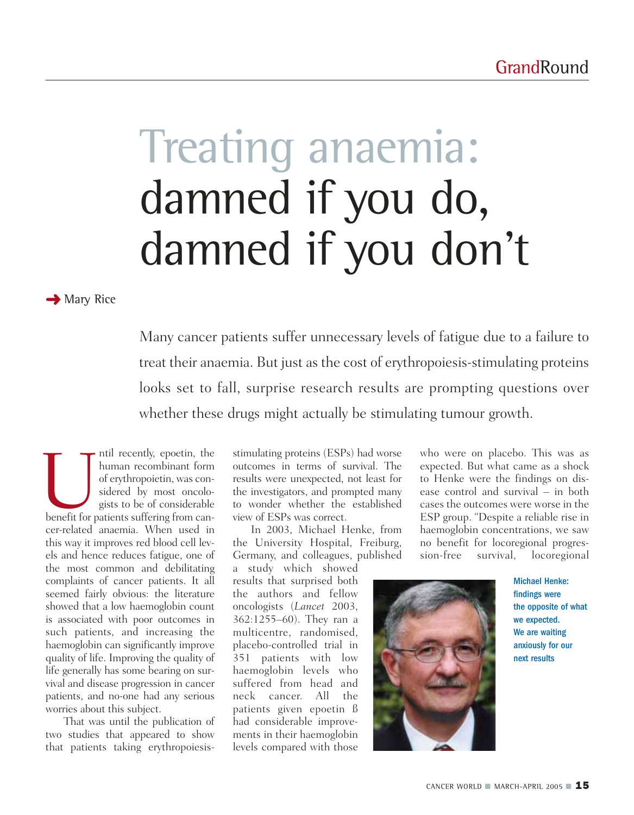# Treating anaemia: damned if you do, damned if you don't

**→ Mary Rice** 

Many cancer patients suffer unnecessary levels of fatigue due to a failure to treat their anaemia. But just as the cost of erythropoiesis-stimulating proteins looks set to fall, surprise research results are prompting questions over whether these drugs might actually be stimulating tumour growth.

Intil recently, epoetin, the<br>
buman recombinant form<br>
of erythropoietin, was considered by most oncologists to be of considerable<br>
benefit for patients suffering from canhuman recombinant form of erythropoietin, was considered by most oncologists to be of considerable cer-related anaemia. When used in this way it improves red blood cell levels and hence reduces fatigue, one of the most common and debilitating complaints of cancer patients. It all seemed fairly obvious: the literature showed that a low haemoglobin count is associated with poor outcomes in such patients, and increasing the haemoglobin can significantly improve quality of life. Improving the quality of life generally has some bearing on survival and disease progression in cancer patients, and no-one had any serious worries about this subject.

That was until the publication of two studies that appeared to show that patients taking erythropoiesisstimulating proteins (ESPs) had worse outcomes in terms of survival. The results were unexpected, not least for the investigators, and prompted many to wonder whether the established view of ESPs was correct.

In 2003, Michael Henke, from the University Hospital, Freiburg, Germany, and colleagues, published

a study which showed results that surprised both the authors and fellow oncologists (*Lancet* 2003, 362:1255–60). They ran a multicentre, randomised, placebo-controlled trial in 351 patients with low haemoglobin levels who suffered from head and neck cancer. All the patients given epoetin ß had considerable improvements in their haemoglobin levels compared with those

who were on placebo. This was as expected. But what came as a shock to Henke were the findings on disease control and survival – in both cases the outcomes were worse in the ESP group. "Despite a reliable rise in haemoglobin concentrations, we saw no benefit for locoregional progression-free survival, locoregional



Michael Henke: findings were the opposite of what we expected. We are waiting anxiously for our next results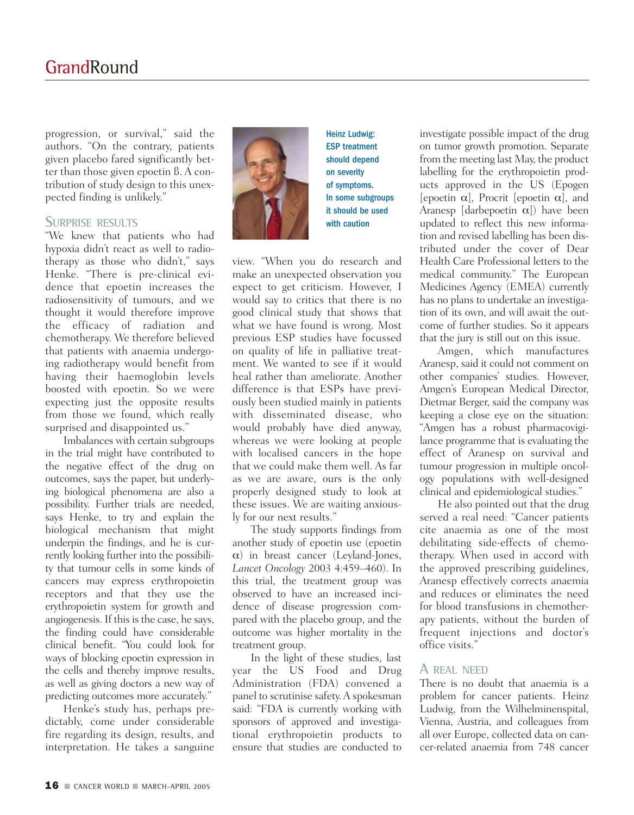progression, or survival," said the authors. "On the contrary, patients given placebo fared significantly better than those given epoetin ß. A contribution of study design to this unexpected finding is unlikely."

### **SURPRISE RESULTS**

"We knew that patients who had hypoxia didn't react as well to radiotherapy as those who didn't," says Henke. "There is pre-clinical evidence that epoetin increases the radiosensitivity of tumours, and we thought it would therefore improve the efficacy of radiation and chemotherapy. We therefore believed that patients with anaemia undergoing radiotherapy would benefit from having their haemoglobin levels boosted with epoetin. So we were expecting just the opposite results from those we found, which really surprised and disappointed us."

Imbalances with certain subgroups in the trial might have contributed to the negative effect of the drug on outcomes, says the paper, but underlying biological phenomena are also a possibility. Further trials are needed, says Henke, to try and explain the biological mechanism that might underpin the findings, and he is currently looking further into the possibility that tumour cells in some kinds of cancers may express erythropoietin receptors and that they use the erythropoietin system for growth and angiogenesis. If this is the case, he says, the finding could have considerable clinical benefit. "You could look for ways of blocking epoetin expression in the cells and thereby improve results, as well as giving doctors a new way of predicting outcomes more accurately."

Henke's study has, perhaps predictably, come under considerable fire regarding its design, results, and interpretation. He takes a sanguine



ESP treatment should depend on severity of symptoms. In some subgroups it should be used with caution

Heinz Ludwig:

view. "When you do research and make an unexpected observation you expect to get criticism. However, I would say to critics that there is no good clinical study that shows that what we have found is wrong. Most previous ESP studies have focussed on quality of life in palliative treatment. We wanted to see if it would heal rather than ameliorate. Another difference is that ESPs have previously been studied mainly in patients with disseminated disease, who would probably have died anyway, whereas we were looking at people with localised cancers in the hope that we could make them well. As far as we are aware, ours is the only properly designed study to look at these issues. We are waiting anxiously for our next results."

The study supports findings from another study of epoetin use (epoetin  $\alpha$ ) in breast cancer (Leyland-Jones, *Lancet Oncology* 2003 4:459–460). In this trial, the treatment group was observed to have an increased incidence of disease progression compared with the placebo group, and the outcome was higher mortality in the treatment group.

In the light of these studies, last year the US Food and Drug Administration (FDA) convened a panel to scrutinise safety. A spokesman said: "FDA is currently working with sponsors of approved and investigational erythropoietin products to ensure that studies are conducted to

investigate possible impact of the drug on tumor growth promotion. Separate from the meeting last May, the product labelling for the erythropoietin products approved in the US (Epogen [epoetin  $\alpha$ ], Procrit [epoetin  $\alpha$ ], and Aranesp [darbepoetin  $\alpha$ ]) have been updated to reflect this new information and revised labelling has been distributed under the cover of Dear Health Care Professional letters to the medical community." The European Medicines Agency (EMEA) currently has no plans to undertake an investigation of its own, and will await the outcome of further studies. So it appears that the jury is still out on this issue.

Amgen, which manufactures Aranesp, said it could not comment on other companies' studies. However, Amgen's European Medical Director, Dietmar Berger, said the company was keeping a close eye on the situation: "Amgen has a robust pharmacovigilance programme that is evaluating the effect of Aranesp on survival and tumour progression in multiple oncology populations with well-designed clinical and epidemiological studies."

He also pointed out that the drug served a real need: "Cancer patients cite anaemia as one of the most debilitating side-effects of chemotherapy. When used in accord with the approved prescribing guidelines, Aranesp effectively corrects anaemia and reduces or eliminates the need for blood transfusions in chemotherapy patients, without the burden of frequent injections and doctor's office visits."

### **A REAL NEED**

There is no doubt that anaemia is a problem for cancer patients. Heinz Ludwig, from the Wilhelminenspital, Vienna, Austria, and colleagues from all over Europe, collected data on cancer-related anaemia from 748 cancer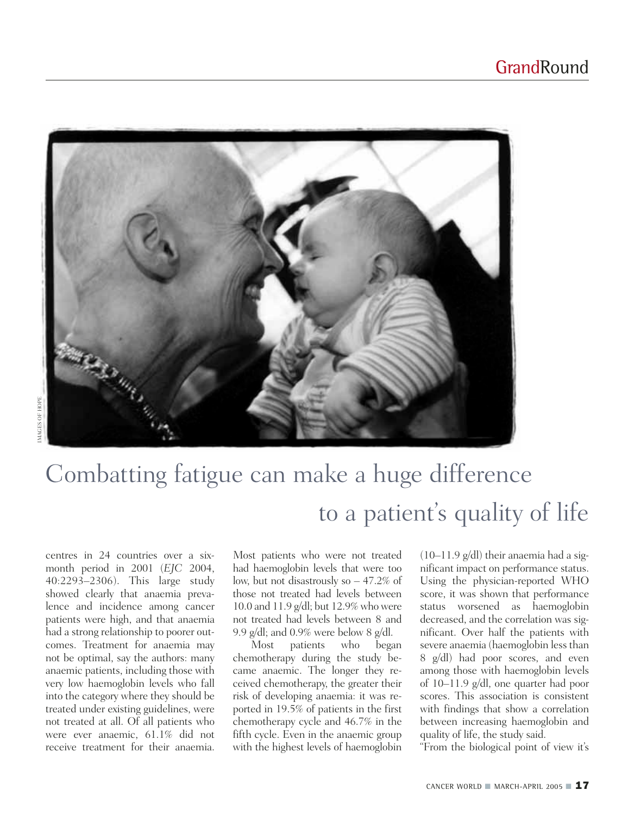

## Combatting fatigue can make a huge difference to a patient's quality of life

centres in 24 countries over a sixmonth period in 2001 (*EJC* 2004, 40:2293–2306). This large study showed clearly that anaemia prevalence and incidence among cancer patients were high, and that anaemia had a strong relationship to poorer outcomes. Treatment for anaemia may not be optimal, say the authors: many anaemic patients, including those with very low haemoglobin levels who fall into the category where they should be treated under existing guidelines, were not treated at all. Of all patients who were ever anaemic, 61.1% did not receive treatment for their anaemia.

Most patients who were not treated had haemoglobin levels that were too low, but not disastrously so – 47.2% of those not treated had levels between 10.0 and 11.9 g/dl; but 12.9% who were not treated had levels between 8 and 9.9 g/dl; and 0.9% were below 8 g/dl.

Most patients who began chemotherapy during the study became anaemic. The longer they received chemotherapy, the greater their risk of developing anaemia: it was reported in 19.5% of patients in the first chemotherapy cycle and 46.7% in the fifth cycle. Even in the anaemic group with the highest levels of haemoglobin

 $(10-11.9 \text{ g/dl})$  their anaemia had a significant impact on performance status. Using the physician-reported WHO score, it was shown that performance status worsened as haemoglobin decreased, and the correlation was significant. Over half the patients with severe anaemia (haemoglobin less than 8 g/dl) had poor scores, and even among those with haemoglobin levels of 10–11.9 g/dl, one quarter had poor scores. This association is consistent with findings that show a correlation between increasing haemoglobin and quality of life, the study said.

"From the biological point of view it's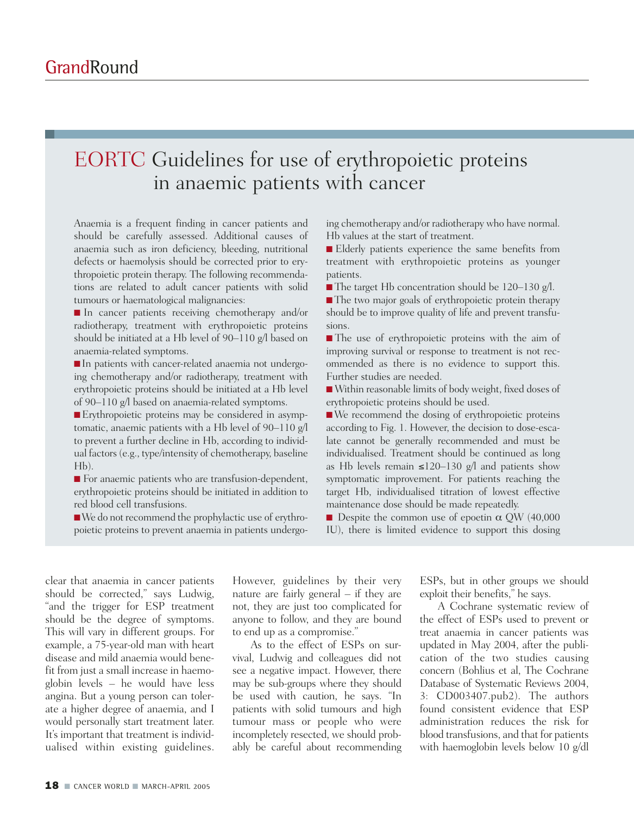### EORTC Guidelines for use of erythropoietic proteins in anaemic patients with cancer

Anaemia is a frequent finding in cancer patients and should be carefully assessed. Additional causes of anaemia such as iron deficiency, bleeding, nutritional defects or haemolysis should be corrected prior to erythropoietic protein therapy. The following recommendations are related to adult cancer patients with solid tumours or haematological malignancies:

■ In cancer patients receiving chemotherapy and/or radiotherapy, treatment with erythropoietic proteins should be initiated at a Hb level of 90–110 g/l based on anaemia-related symptoms.

■ In patients with cancer-related anaemia not undergoing chemotherapy and/or radiotherapy, treatment with erythropoietic proteins should be initiated at a Hb level of 90–110 g/l based on anaemia-related symptoms.

■ Erythropoietic proteins may be considered in asymptomatic, anaemic patients with a Hb level of 90–110 g/l to prevent a further decline in Hb, according to individual factors (e.g., type/intensity of chemotherapy, baseline Hb).

■ For anaemic patients who are transfusion-dependent, erythropoietic proteins should be initiated in addition to red blood cell transfusions.

■We do not recommend the prophylactic use of erythropoietic proteins to prevent anaemia in patients undergoing chemotherapy and/or radiotherapy who have normal. Hb values at the start of treatment.

■ Elderly patients experience the same benefits from treatment with erythropoietic proteins as younger patients.

■ The target Hb concentration should be 120–130 g/l.

■ The two major goals of erythropoietic protein therapy should be to improve quality of life and prevent transfusions.

■ The use of erythropoietic proteins with the aim of improving survival or response to treatment is not recommended as there is no evidence to support this. Further studies are needed.

■ Within reasonable limits of body weight, fixed doses of erythropoietic proteins should be used.

■ We recommend the dosing of erythropoietic proteins according to Fig. 1. However, the decision to dose-escalate cannot be generally recommended and must be individualised. Treatment should be continued as long as Hb levels remain ≤120–130 g/l and patients show symptomatic improvement. For patients reaching the target Hb, individualised titration of lowest effective maintenance dose should be made repeatedly.

**Despite the common use of epoetin**  $\alpha$  **QW (40,000** IU), there is limited evidence to support this dosing

clear that anaemia in cancer patients should be corrected," says Ludwig, "and the trigger for ESP treatment should be the degree of symptoms. This will vary in different groups. For example, a 75-year-old man with heart disease and mild anaemia would benefit from just a small increase in haemoglobin levels – he would have less angina. But a young person can tolerate a higher degree of anaemia, and I would personally start treatment later. It's important that treatment is individualised within existing guidelines.

However, guidelines by their very nature are fairly general – if they are not, they are just too complicated for anyone to follow, and they are bound to end up as a compromise."

As to the effect of ESPs on survival, Ludwig and colleagues did not see a negative impact. However, there may be sub-groups where they should be used with caution, he says. "In patients with solid tumours and high tumour mass or people who were incompletely resected, we should probably be careful about recommending

ESPs, but in other groups we should exploit their benefits," he says.

A Cochrane systematic review of the effect of ESPs used to prevent or treat anaemia in cancer patients was updated in May 2004, after the publication of the two studies causing concern (Bohlius et al, The Cochrane Database of Systematic Reviews 2004, 3: CD003407.pub2). The authors found consistent evidence that ESP administration reduces the risk for blood transfusions, and that for patients with haemoglobin levels below 10 g/dl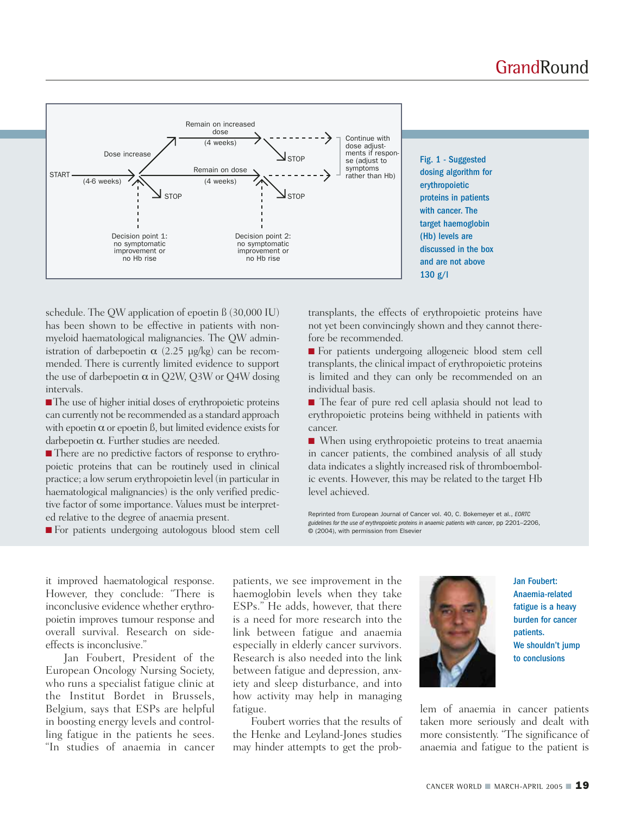

schedule. The QW application of epoetin ß (30,000 IU) has been shown to be effective in patients with nonmyeloid haematological malignancies. The QW administration of darbepoetin  $\alpha$  (2.25 μg/kg) can be recommended. There is currently limited evidence to support the use of darbepoetin  $\alpha$  in Q2W, Q3W or Q4W dosing intervals.

■The use of higher initial doses of erythropoietic proteins can currently not be recommended as a standard approach with epoetin  $\alpha$  or epoetin ß, but limited evidence exists for darbepoetin α. Further studies are needed.

■ There are no predictive factors of response to erythropoietic proteins that can be routinely used in clinical practice; a low serum erythropoietin level (in particular in haematological malignancies) is the only verified predictive factor of some importance. Values must be interpreted relative to the degree of anaemia present.

■ For patients undergoing autologous blood stem cell

transplants, the effects of erythropoietic proteins have not yet been convincingly shown and they cannot therefore be recommended.

■ For patients undergoing allogeneic blood stem cell transplants, the clinical impact of erythropoietic proteins is limited and they can only be recommended on an individual basis.

■ The fear of pure red cell aplasia should not lead to erythropoietic proteins being withheld in patients with cancer.

■ When using erythropoietic proteins to treat anaemia in cancer patients, the combined analysis of all study data indicates a slightly increased risk of thromboembolic events. However, this may be related to the target Hb level achieved.

Reprinted from European Journal of Cancer vol. 40, C. Bokemeyer et al., *EORTC guidelines for the use of erythropoietic proteins in anaemic patients with cancer*, pp 2201–2206, © (2004), with permission from Elsevier

it improved haematological response. However, they conclude: "There is inconclusive evidence whether erythropoietin improves tumour response and overall survival. Research on sideeffects is inconclusive."

Jan Foubert, President of the European Oncology Nursing Society, who runs a specialist fatigue clinic at the Institut Bordet in Brussels, Belgium, says that ESPs are helpful in boosting energy levels and controlling fatigue in the patients he sees. "In studies of anaemia in cancer

patients, we see improvement in the haemoglobin levels when they take ESPs." He adds, however, that there is a need for more research into the link between fatigue and anaemia especially in elderly cancer survivors. Research is also needed into the link between fatigue and depression, anxiety and sleep disturbance, and into how activity may help in managing fatigue.

Foubert worries that the results of the Henke and Leyland-Jones studies may hinder attempts to get the prob-



Jan Foubert: Anaemia-related fatigue is a heavy burden for cancer patients. We shouldn't jump to conclusions

lem of anaemia in cancer patients taken more seriously and dealt with more consistently. "The significance of anaemia and fatigue to the patient is